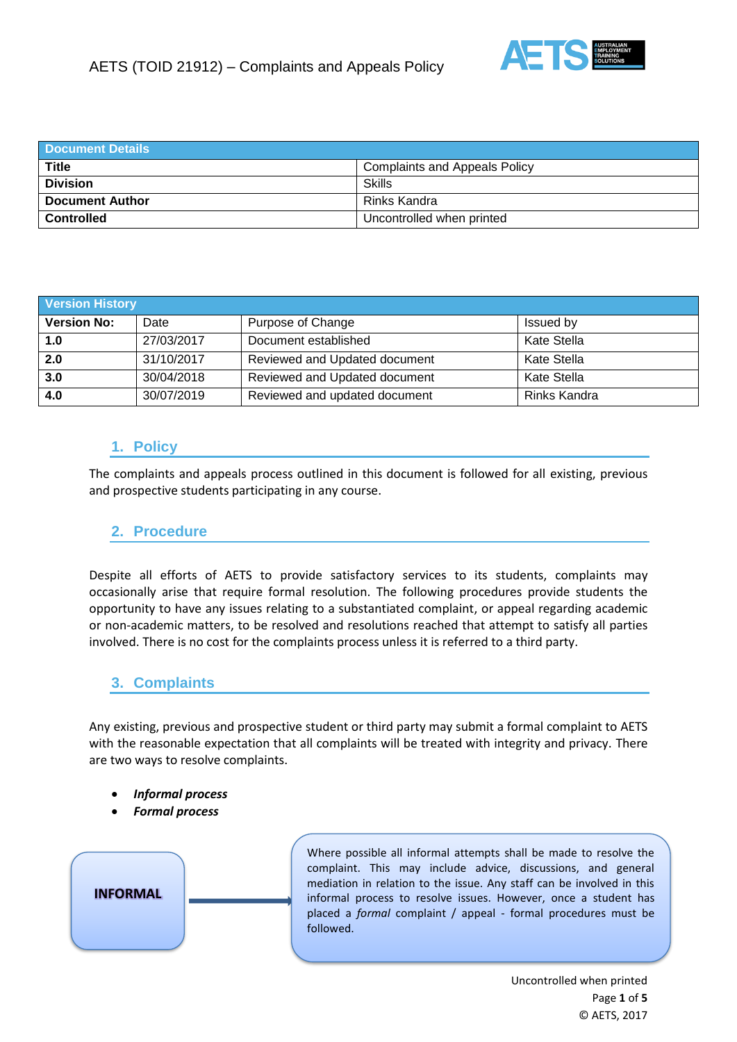

| <b>Document Details</b> |                                      |
|-------------------------|--------------------------------------|
| <b>Title</b>            | <b>Complaints and Appeals Policy</b> |
| <b>Division</b>         | <b>Skills</b>                        |
| <b>Document Author</b>  | Rinks Kandra                         |
| <b>Controlled</b>       | Uncontrolled when printed            |

| <b>Version History</b> |            |                               |              |
|------------------------|------------|-------------------------------|--------------|
| <b>Version No:</b>     | Date       | Purpose of Change             | Issued by    |
| 1.0                    | 27/03/2017 | Document established          | Kate Stella  |
| 2.0                    | 31/10/2017 | Reviewed and Updated document | Kate Stella  |
| 3.0                    | 30/04/2018 | Reviewed and Updated document | Kate Stella  |
| 4.0                    | 30/07/2019 | Reviewed and updated document | Rinks Kandra |

### **1. Policy**

The complaints and appeals process outlined in this document is followed for all existing, previous and prospective students participating in any course.

### **2. Procedure**

Despite all efforts of AETS to provide satisfactory services to its students, complaints may occasionally arise that require formal resolution. The following procedures provide students the opportunity to have any issues relating to a substantiated complaint, or appeal regarding academic or non-academic matters, to be resolved and resolutions reached that attempt to satisfy all parties involved. There is no cost for the complaints process unless it is referred to a third party.

## **3. Complaints**

Any existing, previous and prospective student or third party may submit a formal complaint to AETS with the reasonable expectation that all complaints will be treated with integrity and privacy. There are two ways to resolve complaints.

- *Informal process*
- *Formal process*



Where possible all informal attempts shall be made to resolve the complaint. This may include advice, discussions, and general mediation in relation to the issue. Any staff can be involved in this informal process to resolve issues. However, once a student has placed a *formal* complaint / appeal - formal procedures must be followed.

> Uncontrolled when printed Page **1** of **5** © AETS, 2017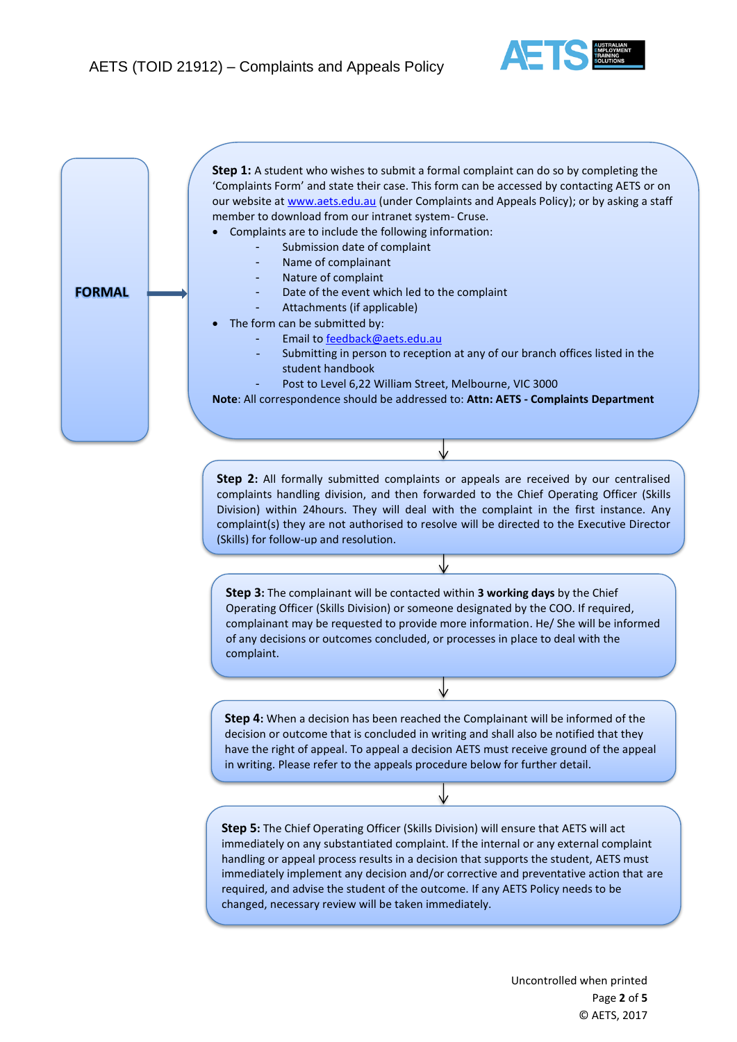



**Step 2:** All formally submitted complaints or appeals are received by our centralised complaints handling division, and then forwarded to the Chief Operating Officer (Skills Division) within 24hours. They will deal with the complaint in the first instance. Any complaint(s) they are not authorised to resolve will be directed to the Executive Director (Skills) for follow-up and resolution.

**Step 3:** The complainant will be contacted within **3 working days** by the Chief Operating Officer (Skills Division) or someone designated by the COO. If required, complainant may be requested to provide more information. He/ She will be informed of any decisions or outcomes concluded, or processes in place to deal with the complaint.

**Step 4:** When a decision has been reached the Complainant will be informed of the decision or outcome that is concluded in writing and shall also be notified that they have the right of appeal. To appeal a decision AETS must receive ground of the appeal in writing. Please refer to the appeals procedure below for further detail.

**Step 5:** The Chief Operating Officer (Skills Division) will ensure that AETS will act immediately on any substantiated complaint. If the internal or any external complaint handling or appeal process results in a decision that supports the student, AETS must immediately implement any decision and/or corrective and preventative action that are required, and advise the student of the outcome. If any AETS Policy needs to be changed, necessary review will be taken immediately.

> Uncontrolled when printed Page **2** of **5** © AETS, 2017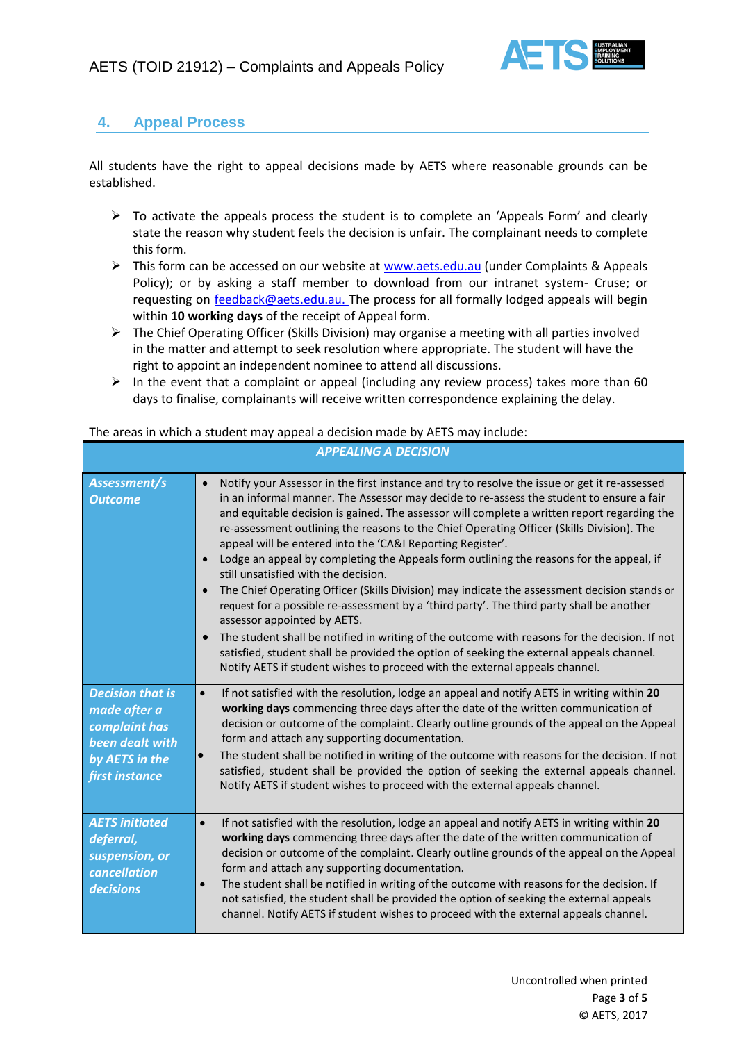

## **4. Appeal Process**

All students have the right to appeal decisions made by AETS where reasonable grounds can be established.

- $\triangleright$  To activate the appeals process the student is to complete an 'Appeals Form' and clearly state the reason why student feels the decision is unfair. The complainant needs to complete this form.
- ➢ This form can be accessed on our website at [www.aets.edu.au](http://www.aets.edu.au/) (under Complaints & Appeals Policy); or by asking a staff member to download from our intranet system- Cruse; or requesting on **feedback@aets.edu.au.** The process for all formally lodged appeals will begin within **10 working days** of the receipt of Appeal form.
- $\triangleright$  The Chief Operating Officer (Skills Division) may organise a meeting with all parties involved in the matter and attempt to seek resolution where appropriate. The student will have the right to appoint an independent nominee to attend all discussions.
- $\triangleright$  In the event that a complaint or appeal (including any review process) takes more than 60 days to finalise, complainants will receive written correspondence explaining the delay.

### The areas in which a student may appeal a decision made by AETS may include:

|                                                                                                                 | <b>APPEALING A DECISION</b>                                                                                                                                                                                                                                                                                                                                                                                                                                                                                                                                                                                                                                                                                                                                                                                                                                                                                                                                                                                                                                                                                 |
|-----------------------------------------------------------------------------------------------------------------|-------------------------------------------------------------------------------------------------------------------------------------------------------------------------------------------------------------------------------------------------------------------------------------------------------------------------------------------------------------------------------------------------------------------------------------------------------------------------------------------------------------------------------------------------------------------------------------------------------------------------------------------------------------------------------------------------------------------------------------------------------------------------------------------------------------------------------------------------------------------------------------------------------------------------------------------------------------------------------------------------------------------------------------------------------------------------------------------------------------|
| Assessment/s<br><b>Outcome</b>                                                                                  | Notify your Assessor in the first instance and try to resolve the issue or get it re-assessed<br>$\bullet$<br>in an informal manner. The Assessor may decide to re-assess the student to ensure a fair<br>and equitable decision is gained. The assessor will complete a written report regarding the<br>re-assessment outlining the reasons to the Chief Operating Officer (Skills Division). The<br>appeal will be entered into the 'CA&I Reporting Register'.<br>Lodge an appeal by completing the Appeals form outlining the reasons for the appeal, if<br>still unsatisfied with the decision.<br>The Chief Operating Officer (Skills Division) may indicate the assessment decision stands or<br>request for a possible re-assessment by a 'third party'. The third party shall be another<br>assessor appointed by AETS.<br>The student shall be notified in writing of the outcome with reasons for the decision. If not<br>satisfied, student shall be provided the option of seeking the external appeals channel.<br>Notify AETS if student wishes to proceed with the external appeals channel. |
| <b>Decision that is</b><br>made after a<br>complaint has<br>been dealt with<br>by AETS in the<br>first instance | If not satisfied with the resolution, lodge an appeal and notify AETS in writing within 20<br>$\bullet$<br>working days commencing three days after the date of the written communication of<br>decision or outcome of the complaint. Clearly outline grounds of the appeal on the Appeal<br>form and attach any supporting documentation.<br>The student shall be notified in writing of the outcome with reasons for the decision. If not<br>$\bullet$<br>satisfied, student shall be provided the option of seeking the external appeals channel.<br>Notify AETS if student wishes to proceed with the external appeals channel.                                                                                                                                                                                                                                                                                                                                                                                                                                                                         |
| <b>AETS initiated</b><br>deferral,<br>suspension, or<br>cancellation<br>decisions                               | If not satisfied with the resolution, lodge an appeal and notify AETS in writing within 20<br>$\bullet$<br>working days commencing three days after the date of the written communication of<br>decision or outcome of the complaint. Clearly outline grounds of the appeal on the Appeal<br>form and attach any supporting documentation.<br>The student shall be notified in writing of the outcome with reasons for the decision. If<br>$\bullet$<br>not satisfied, the student shall be provided the option of seeking the external appeals<br>channel. Notify AETS if student wishes to proceed with the external appeals channel.                                                                                                                                                                                                                                                                                                                                                                                                                                                                     |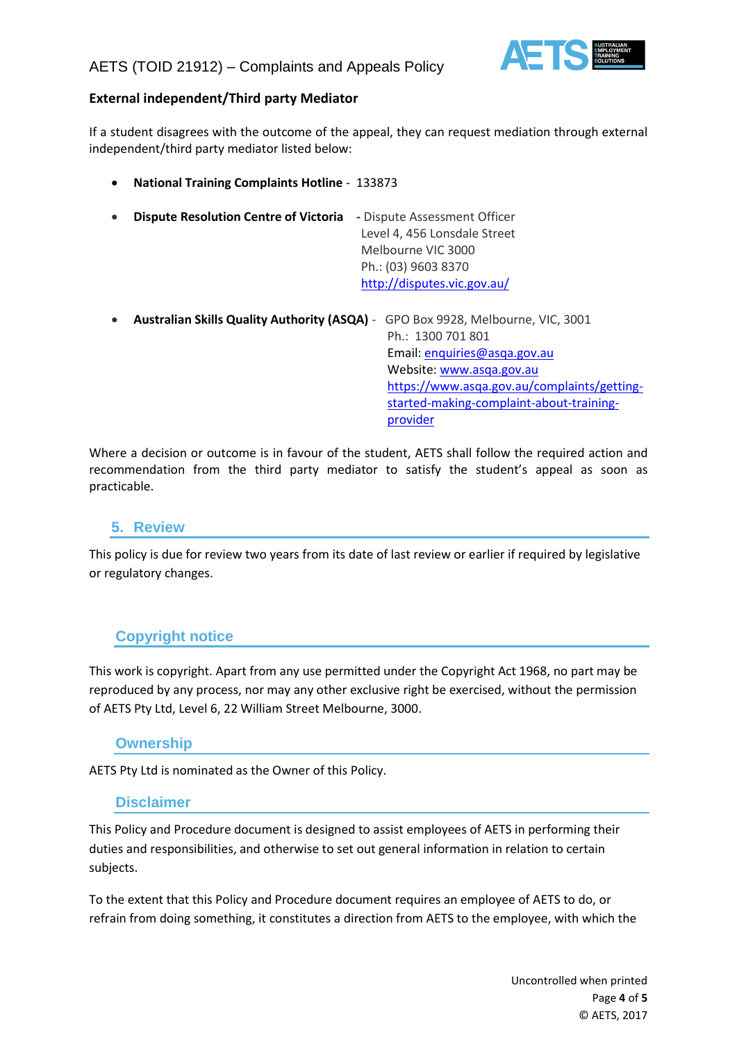

### **External independent/Third party Mediator**

If a student disagrees with the outcome of the appeal, they can request mediation through external independent/third party mediator listed below:

• **National Training Complaints Hotline** - 133873 • **Dispute Resolution Centre of Victoria -** Dispute Assessment Officer Level 4, 456 Lonsdale Street Melbourne VIC 3000 Ph.: (03) 9603 8370 <http://disputes.vic.gov.au/> • **Australian Skills Quality Authority (ASQA)** - GPO Box 9928, Melbourne, VIC, 3001 Ph.: 1300 701 801 Email: [enquiries@asqa.gov.au](mailto:enquiries@asqa.gov.au) Website[: www.asqa.gov.au](http://www.asqa.gov.au/) https://www.asqa.gov.au/complaints/gettingstarted-making-complaint-about-training-

Where a decision or outcome is in favour of the student, AETS shall follow the required action and recommendation from the third party mediator to satisfy the student's appeal as soon as practicable.

provider

#### **5. Review**

This policy is due for review two years from its date of last review or earlier if required by legislative or regulatory changes.

## **Copyright notice**

This work is copyright. Apart from any use permitted under the Copyright Act 1968, no part may be reproduced by any process, nor may any other exclusive right be exercised, without the permission of AETS Pty Ltd, Level 6, 22 William Street Melbourne, 3000.

#### **Ownership**

AETS Pty Ltd is nominated as the Owner of this Policy.

### **Disclaimer**

This Policy and Procedure document is designed to assist employees of AETS in performing their duties and responsibilities, and otherwise to set out general information in relation to certain subjects.

To the extent that this Policy and Procedure document requires an employee of AETS to do, or refrain from doing something, it constitutes a direction from AETS to the employee, with which the